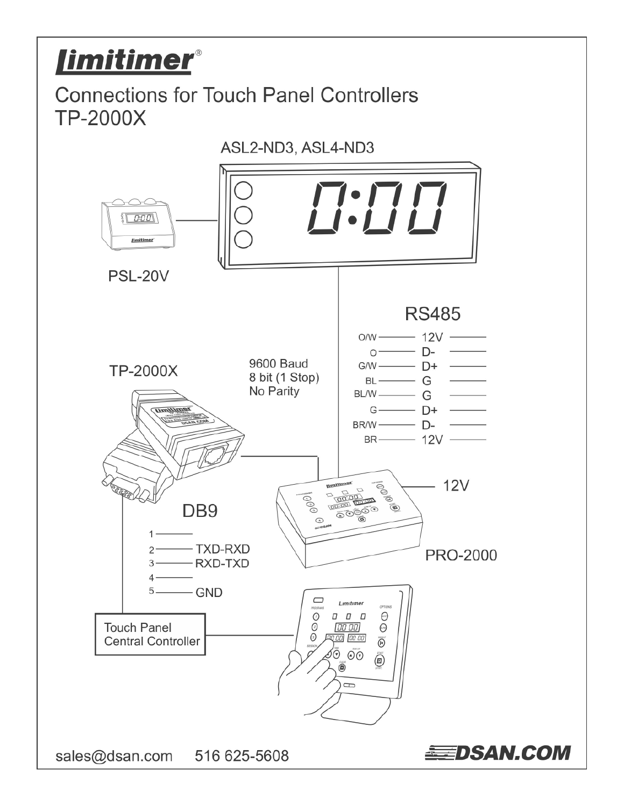# *limitimer®*

# **Connections for Touch Panel Controllers TP-2000X**



sales@dsan.com 516 625-5608

**EEDSAN.COM**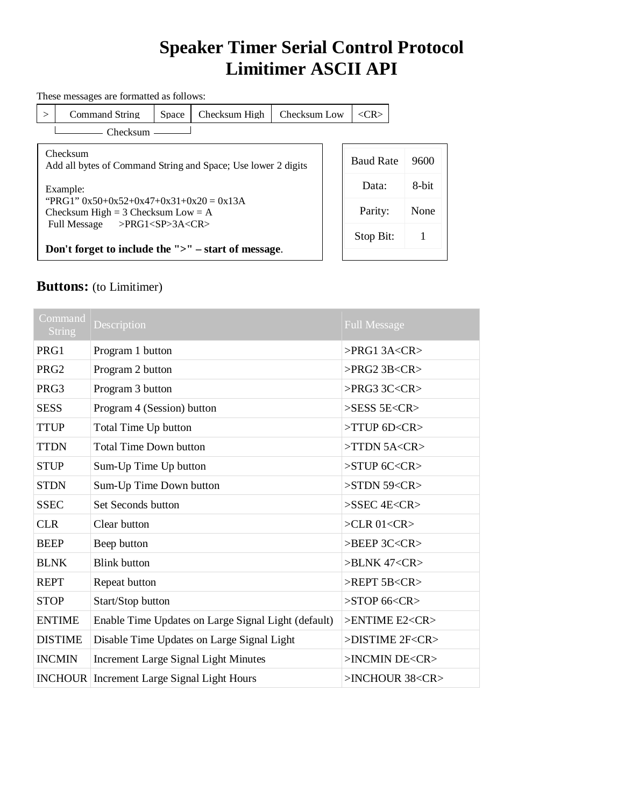## **Speaker Timer Serial Control Protocol Limitimer ASCII API**

These messages are formatted as follows:

 $>$  Command String Space Checksum High Checksum Low  $\vert \langle CR \rangle$ 

Checksum

Checksum Add all bytes of Command String and Space; Use lower 2 digits

Example: "PRG1"  $0x50+0x52+0x47+0x31+0x20 = 0x13A$ Checksum High = 3 Checksum Low = A Full Message >PRG1<SP>3A<CR>

**Don't forget to include the ">" – start of message**.

| <b>Baud Rate</b> | 9600  |
|------------------|-------|
| Data:            | 8-bit |
| Parity:          | None  |
| Stop Bit:        |       |
|                  |       |

#### **Buttons:** (to Limitimer)

| Command<br><b>String</b> | Description                                         | <b>Full Message</b>                 |
|--------------------------|-----------------------------------------------------|-------------------------------------|
| PRG1                     | Program 1 button                                    | $>$ PRG1 3A <cr<math>&gt;</cr<math> |
| PRG <sub>2</sub>         | Program 2 button                                    | $>$ PRG2 3B <cr<math>&gt;</cr<math> |
| PRG3                     | Program 3 button                                    | $>$ PRG3 3C <cr<math>&gt;</cr<math> |
| <b>SESS</b>              | Program 4 (Session) button                          | $>$ SESS 5E <cr<math>&gt;</cr<math> |
| <b>TTUP</b>              | Total Time Up button                                | $>$ TTUP 6D <cr<math>&gt;</cr<math> |
| <b>TTDN</b>              | <b>Total Time Down button</b>                       | $>$ TTDN 5A <cr<math>&gt;</cr<math> |
| <b>STUP</b>              | Sum-Up Time Up button                               | $>STUP$ 6C <cr<math>&gt;</cr<math>  |
| <b>STDN</b>              | Sum-Up Time Down button                             | $>STDN$ 59 < $CR$                   |
| <b>SSEC</b>              | Set Seconds button                                  | $>$ SSEC 4E <cr<math>&gt;</cr<math> |
| <b>CLR</b>               | Clear button                                        | $>CLR$ 01< $CR$                     |
| <b>BEEP</b>              | Beep button                                         | >BEEP 3C <cr></cr>                  |
| <b>BLNK</b>              | <b>Blink button</b>                                 | $>BLINK 47 <$ CR $>$                |
| <b>REPT</b>              | Repeat button                                       | $>$ REPT 5B <cr<math>&gt;</cr<math> |
| <b>STOP</b>              | Start/Stop button                                   | $>$ STOP 66 <cr<math>&gt;</cr<math> |
| <b>ENTIME</b>            | Enable Time Updates on Large Signal Light (default) | >ENTIME E2 <cr></cr>                |
| <b>DISTIME</b>           | Disable Time Updates on Large Signal Light          | >DISTIME 2F <cr></cr>               |
| <b>INCMIN</b>            | <b>Increment Large Signal Light Minutes</b>         | >INCMIN DE <cr></cr>                |
|                          | <b>INCHOUR</b> Increment Large Signal Light Hours   | >INCHOUR 38 <cr></cr>               |